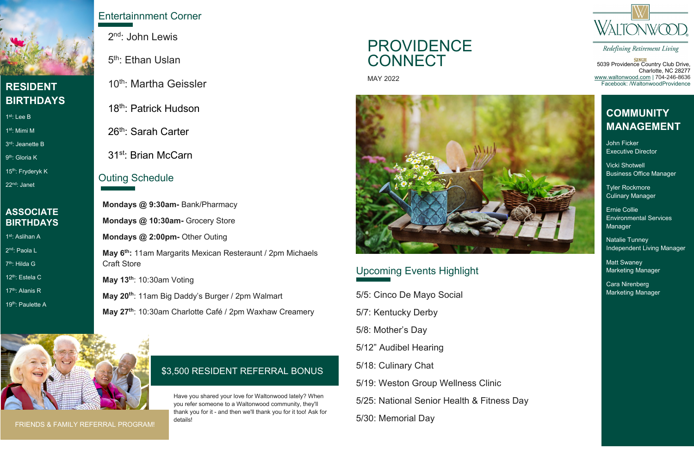## Upcoming Events Highlight

**SINGH**<br>5039 Providence Country Club Drive, Charlotte, NC 28277 [www.waltonwood.com](http://www.waltonwood.com/) | 704-246-8636 Facebook: /WaltonwoodProvidence

1st: Aslihan A 2<sup>nd</sup>: Paola L

7<sup>th</sup>: Hilda G

#### **ASSOCIATE BIRTHDAYS**

12th: Estela C

17<sup>th</sup>: Alanis R

19<sup>th</sup>: Paulette A

10th: Martha Geissler

18<sup>th</sup>: Patrick Hudson

26<sup>th</sup>: Sarah Carter

31st: Brian McCarn

# PROVIDENCE **CONNECT**

5/5: Cinco De Mayo Social 5/7: Kentucky Derby 5/8: Mother's Day 5/12" Audibel Hearing 5/18: Culinary Chat 5/19: Weston Group Wellness Clinic 5/25: National Senior Health & Fitness Day 5/30: Memorial Day



Redefining Retirement Living

### **COMMUNITY MANAGEMENT**

John Ficker Executive Director

Vicki Shotwell Business Office Manager

Tyler Rockmore Culinary Manager

Ernie Collie Environmental Services Manager

Natalie Tunney Independent Living Manager

Matt Swaney Marketing Manager

Cara Nirenberg Marketing Manager

MAY 2022



#### \$3,500 RESIDENT REFERRAL BONUS

Have you shared your love for Waltonwood lately? When you refer someone to a Waltonwood community, they'll thank you for it - and then we'll thank you for it too! Ask for



#### **RESIDENT BIRTHDAYS**

1st: Lee B

1st: Mimi M

3rd: Jeanette B

9<sup>th</sup>: Gloria K

15<sup>th</sup>: Fryderyk K

22nd: Janet

### Entertainnment Corner

2<sup>nd</sup>: John Lewis

5<sup>th</sup>: Ethan Uslan

#### Outing Schedule

**Mondays @ 9:30am-** Bank/Pharmacy **Mondays @ 10:30am-** Grocery Store **Mondays @ 2:00pm-** Other Outing **May 6th:** 11am Margarits Mexican Resteraunt / 2pm Michaels Craft Store **May 13th**: 10:30am Voting **May 20th**: 11am Big Daddy's Burger / 2pm Walmart

**May 27th**: 10:30am Charlotte Café / 2pm Waxhaw Creamery



FRIENDS & FAMILY REFERRAL PROGRAM!